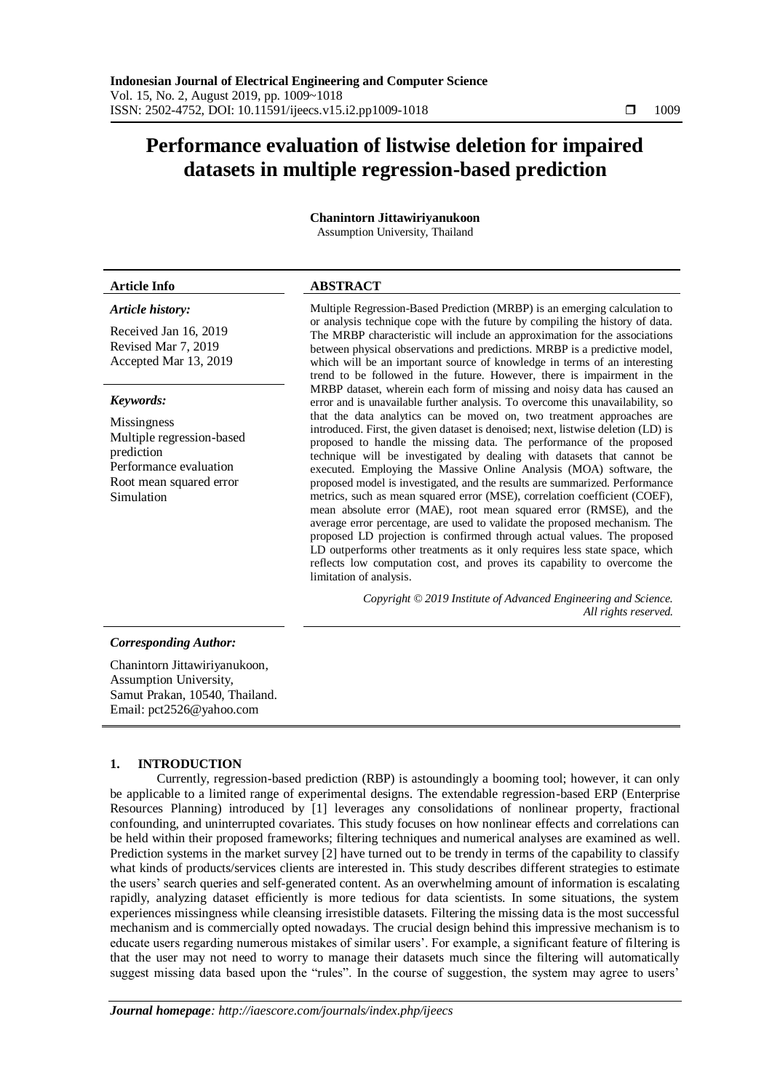# **Performance evaluation of listwise deletion for impaired datasets in multiple regression-based prediction**

# **Chanintorn Jittawiriyanukoon**

Assumption University, Thailand

# *Article history:*

Received Jan 16, 2019 Revised Mar 7, 2019 Accepted Mar 13, 2019

# *Keywords:*

Missingness Multiple regression-based prediction Performance evaluation Root mean squared error Simulation

# **Article Info ABSTRACT**

Multiple Regression-Based Prediction (MRBP) is an emerging calculation to or analysis technique cope with the future by compiling the history of data. The MRBP characteristic will include an approximation for the associations between physical observations and predictions. MRBP is a predictive model, which will be an important source of knowledge in terms of an interesting trend to be followed in the future. However, there is impairment in the MRBP dataset, wherein each form of missing and noisy data has caused an error and is unavailable further analysis. To overcome this unavailability, so that the data analytics can be moved on, two treatment approaches are introduced. First, the given dataset is denoised; next, listwise deletion (LD) is proposed to handle the missing data. The performance of the proposed technique will be investigated by dealing with datasets that cannot be executed. Employing the Massive Online Analysis (MOA) software, the proposed model is investigated, and the results are summarized. Performance metrics, such as mean squared error (MSE), correlation coefficient (COEF), mean absolute error (MAE), root mean squared error (RMSE), and the average error percentage, are used to validate the proposed mechanism. The proposed LD projection is confirmed through actual values. The proposed LD outperforms other treatments as it only requires less state space, which reflects low computation cost, and proves its capability to overcome the limitation of analysis.

> *Copyright © 2019 Institute of Advanced Engineering and Science. All rights reserved.*

# *Corresponding Author:*

Chanintorn Jittawiriyanukoon, Assumption University, Samut Prakan, 10540, Thailand. Email: pct2526@yahoo.com

# **1. INTRODUCTION**

Currently, regression-based prediction (RBP) is astoundingly a booming tool; however, it can only be applicable to a limited range of experimental designs. The extendable regression-based ERP (Enterprise Resources Planning) introduced by [1] leverages any consolidations of nonlinear property, fractional confounding, and uninterrupted covariates. This study focuses on how nonlinear effects and correlations can be held within their proposed frameworks; filtering techniques and numerical analyses are examined as well. Prediction systems in the market survey [2] have turned out to be trendy in terms of the capability to classify what kinds of products/services clients are interested in. This study describes different strategies to estimate the users' search queries and self-generated content. As an overwhelming amount of information is escalating rapidly, analyzing dataset efficiently is more tedious for data scientists. In some situations, the system experiences missingness while cleansing irresistible datasets. Filtering the missing data is the most successful mechanism and is commercially opted nowadays. The crucial design behind this impressive mechanism is to educate users regarding numerous mistakes of similar users'. For example, a significant feature of filtering is that the user may not need to worry to manage their datasets much since the filtering will automatically suggest missing data based upon the "rules". In the course of suggestion, the system may agree to users'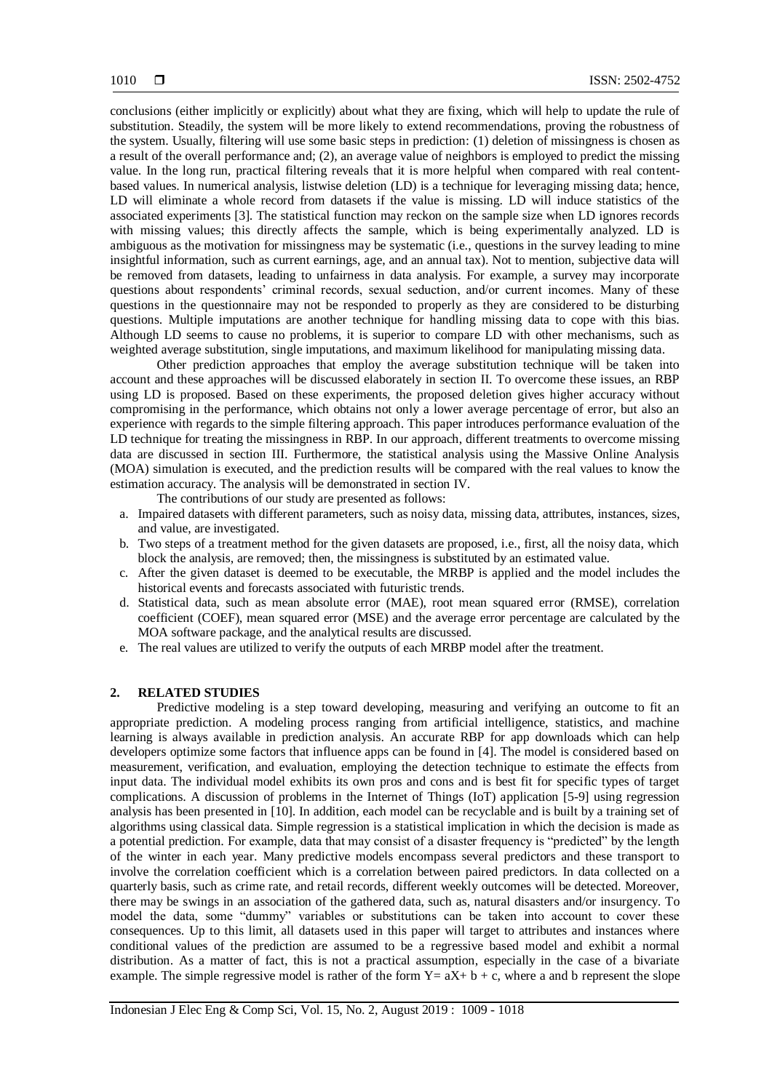conclusions (either implicitly or explicitly) about what they are fixing, which will help to update the rule of substitution. Steadily, the system will be more likely to extend recommendations, proving the robustness of the system. Usually, filtering will use some basic steps in prediction: (1) deletion of missingness is chosen as a result of the overall performance and; (2), an average value of neighbors is employed to predict the missing value. In the long run, practical filtering reveals that it is more helpful when compared with real contentbased values. In numerical analysis, listwise deletion (LD) is a technique for leveraging missing data; hence, LD will eliminate a whole record from datasets if the value is missing. LD will induce statistics of the associated experiments [3]. The statistical function may reckon on the sample size when LD ignores records with missing values; this directly affects the sample, which is being experimentally analyzed. LD is ambiguous as the motivation for missingness may be systematic (i.e., questions in the survey leading to mine insightful information, such as current earnings, age, and an annual tax). Not to mention, subjective data will be removed from datasets, leading to unfairness in data analysis. For example, a survey may incorporate questions about respondents' criminal records, sexual seduction, and/or current incomes. Many of these questions in the questionnaire may not be responded to properly as they are considered to be disturbing questions. Multiple imputations are another technique for handling missing data to cope with this bias. Although LD seems to cause no problems, it is superior to compare LD with other mechanisms, such as weighted average substitution, single imputations, and maximum likelihood for manipulating missing data.

Other prediction approaches that employ the average substitution technique will be taken into account and these approaches will be discussed elaborately in section II. To overcome these issues, an RBP using LD is proposed. Based on these experiments, the proposed deletion gives higher accuracy without compromising in the performance, which obtains not only a lower average percentage of error, but also an experience with regards to the simple filtering approach. This paper introduces performance evaluation of the LD technique for treating the missingness in RBP. In our approach, different treatments to overcome missing data are discussed in section III. Furthermore, the statistical analysis using the Massive Online Analysis (MOA) simulation is executed, and the prediction results will be compared with the real values to know the estimation accuracy. The analysis will be demonstrated in section IV.

The contributions of our study are presented as follows:

- a. Impaired datasets with different parameters, such as noisy data, missing data, attributes, instances, sizes, and value, are investigated.
- b. Two steps of a treatment method for the given datasets are proposed, i.e., first, all the noisy data, which block the analysis, are removed; then, the missingness is substituted by an estimated value.
- c. After the given dataset is deemed to be executable, the MRBP is applied and the model includes the historical events and forecasts associated with futuristic trends.
- d. Statistical data, such as mean absolute error (MAE), root mean squared error (RMSE), correlation coefficient (COEF), mean squared error (MSE) and the average error percentage are calculated by the MOA software package, and the analytical results are discussed.
- e. The real values are utilized to verify the outputs of each MRBP model after the treatment.

# **2. RELATED STUDIES**

Predictive modeling is a step toward developing, measuring and verifying an outcome to fit an appropriate prediction. A modeling process ranging from artificial intelligence, statistics, and machine learning is always available in prediction analysis. An accurate RBP for app downloads which can help developers optimize some factors that influence apps can be found in [4]. The model is considered based on measurement, verification, and evaluation, employing the detection technique to estimate the effects from input data. The individual model exhibits its own pros and cons and is best fit for specific types of target complications. A discussion of problems in the Internet of Things (IoT) application [5-9] using regression analysis has been presented in [10]. In addition, each model can be recyclable and is built by a training set of algorithms using classical data. Simple regression is a statistical implication in which the decision is made as a potential prediction. For example, data that may consist of a disaster frequency is "predicted" by the length of the winter in each year. Many predictive models encompass several predictors and these transport to involve the correlation coefficient which is a correlation between paired predictors. In data collected on a quarterly basis, such as crime rate, and retail records, different weekly outcomes will be detected. Moreover, there may be swings in an association of the gathered data, such as, natural disasters and/or insurgency. To model the data, some "dummy" variables or substitutions can be taken into account to cover these consequences. Up to this limit, all datasets used in this paper will target to attributes and instances where conditional values of the prediction are assumed to be a regressive based model and exhibit a normal distribution. As a matter of fact, this is not a practical assumption, especially in the case of a bivariate example. The simple regressive model is rather of the form  $Y = aX + b + c$ , where a and b represent the slope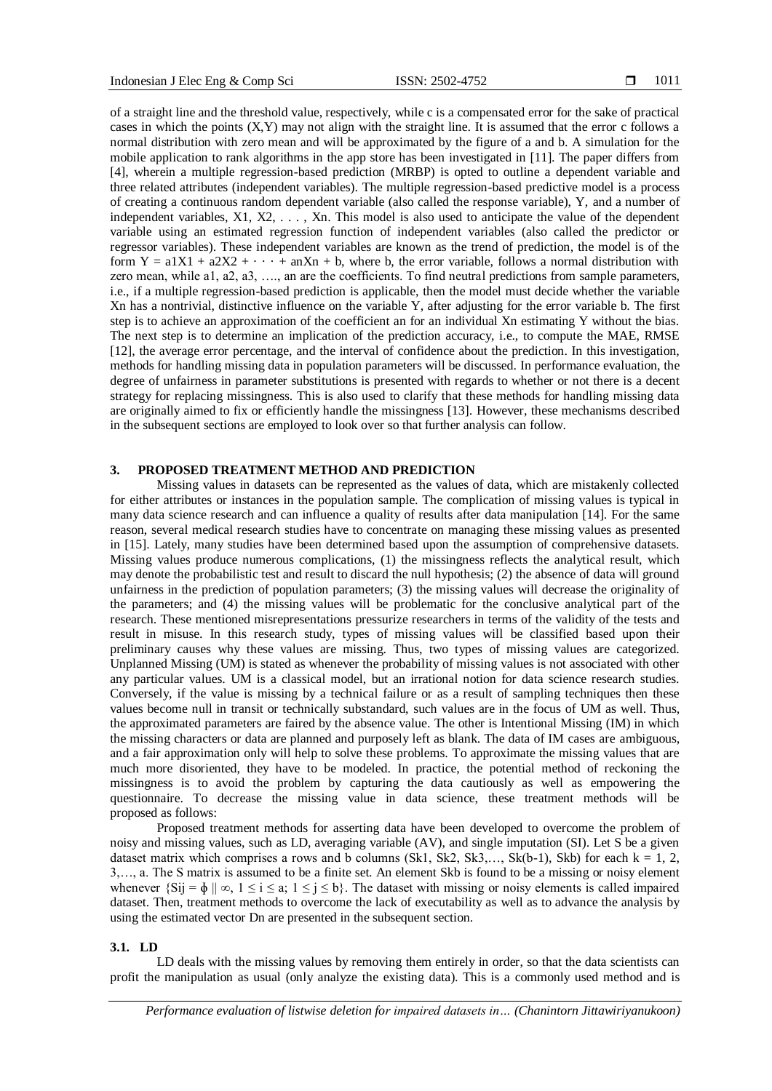of a straight line and the threshold value, respectively, while c is a compensated error for the sake of practical cases in which the points (X,Y) may not align with the straight line. It is assumed that the error c follows a normal distribution with zero mean and will be approximated by the figure of a and b. A simulation for the mobile application to rank algorithms in the app store has been investigated in [11]. The paper differs from [4], wherein a multiple regression-based prediction (MRBP) is opted to outline a dependent variable and three related attributes (independent variables). The multiple regression-based predictive model is a process of creating a continuous random dependent variable (also called the response variable), Y, and a number of independent variables, X1, X2, . . . , Xn. This model is also used to anticipate the value of the dependent variable using an estimated regression function of independent variables (also called the predictor or regressor variables). These independent variables are known as the trend of prediction, the model is of the form  $Y = a1X1 + a2X2 + \cdots + a_nXn + b$ , where b, the error variable, follows a normal distribution with zero mean, while a1, a2, a3, …., an are the coefficients. To find neutral predictions from sample parameters, i.e., if a multiple regression-based prediction is applicable, then the model must decide whether the variable Xn has a nontrivial, distinctive influence on the variable Y, after adjusting for the error variable b. The first step is to achieve an approximation of the coefficient an for an individual Xn estimating Y without the bias. The next step is to determine an implication of the prediction accuracy, i.e., to compute the MAE, RMSE [12], the average error percentage, and the interval of confidence about the prediction. In this investigation, methods for handling missing data in population parameters will be discussed. In performance evaluation, the degree of unfairness in parameter substitutions is presented with regards to whether or not there is a decent strategy for replacing missingness. This is also used to clarify that these methods for handling missing data are originally aimed to fix or efficiently handle the missingness [13]. However, these mechanisms described in the subsequent sections are employed to look over so that further analysis can follow.

# **3. PROPOSED TREATMENT METHOD AND PREDICTION**

Missing values in datasets can be represented as the values of data, which are mistakenly collected for either attributes or instances in the population sample. The complication of missing values is typical in many data science research and can influence a quality of results after data manipulation [14]. For the same reason, several medical research studies have to concentrate on managing these missing values as presented in [15]. Lately, many studies have been determined based upon the assumption of comprehensive datasets. Missing values produce numerous complications, (1) the missingness reflects the analytical result, which may denote the probabilistic test and result to discard the null hypothesis; (2) the absence of data will ground unfairness in the prediction of population parameters; (3) the missing values will decrease the originality of the parameters; and (4) the missing values will be problematic for the conclusive analytical part of the research. These mentioned misrepresentations pressurize researchers in terms of the validity of the tests and result in misuse. In this research study, types of missing values will be classified based upon their preliminary causes why these values are missing. Thus, two types of missing values are categorized. Unplanned Missing (UM) is stated as whenever the probability of missing values is not associated with other any particular values. UM is a classical model, but an irrational notion for data science research studies. Conversely, if the value is missing by a technical failure or as a result of sampling techniques then these values become null in transit or technically substandard, such values are in the focus of UM as well. Thus, the approximated parameters are faired by the absence value. The other is Intentional Missing (IM) in which the missing characters or data are planned and purposely left as blank. The data of IM cases are ambiguous, and a fair approximation only will help to solve these problems. To approximate the missing values that are much more disoriented, they have to be modeled. In practice, the potential method of reckoning the missingness is to avoid the problem by capturing the data cautiously as well as empowering the questionnaire. To decrease the missing value in data science, these treatment methods will be proposed as follows:

Proposed treatment methods for asserting data have been developed to overcome the problem of noisy and missing values, such as LD, averaging variable (AV), and single imputation (SI). Let S be a given dataset matrix which comprises a rows and b columns  $(Sk1, Sk2, Sk3,..., Sk(b-1), Skb)$  for each  $k = 1, 2,$ 3,…, a. The S matrix is assumed to be a finite set. An element Skb is found to be a missing or noisy element whenever  $\{Si j = \phi \mid \infty, 1 \le i \le a; 1 \le j \le b\}$ . The dataset with missing or noisy elements is called impaired dataset. Then, treatment methods to overcome the lack of executability as well as to advance the analysis by using the estimated vector Dn are presented in the subsequent section.

#### **3.1. LD**

LD deals with the missing values by removing them entirely in order, so that the data scientists can profit the manipulation as usual (only analyze the existing data). This is a commonly used method and is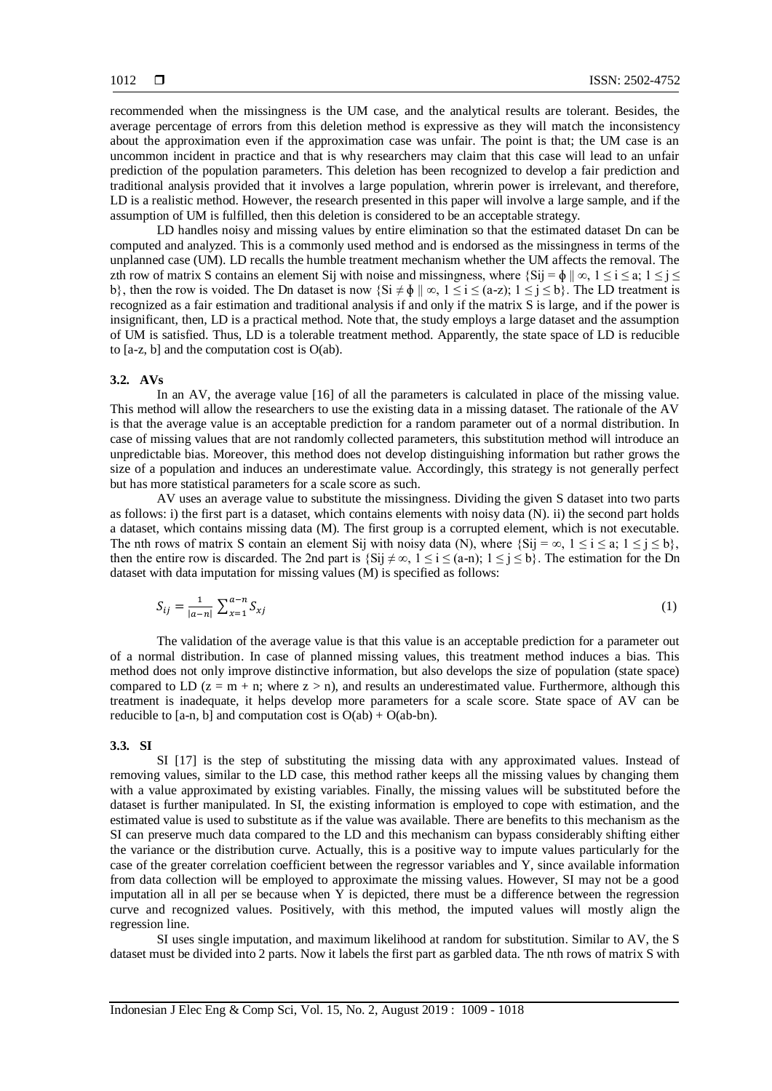recommended when the missingness is the UM case, and the analytical results are tolerant. Besides, the average percentage of errors from this deletion method is expressive as they will match the inconsistency about the approximation even if the approximation case was unfair. The point is that; the UM case is an uncommon incident in practice and that is why researchers may claim that this case will lead to an unfair prediction of the population parameters. This deletion has been recognized to develop a fair prediction and traditional analysis provided that it involves a large population, whrerin power is irrelevant, and therefore, LD is a realistic method. However, the research presented in this paper will involve a large sample, and if the assumption of UM is fulfilled, then this deletion is considered to be an acceptable strategy.

LD handles noisy and missing values by entire elimination so that the estimated dataset Dn can be computed and analyzed. This is a commonly used method and is endorsed as the missingness in terms of the unplanned case (UM). LD recalls the humble treatment mechanism whether the UM affects the removal. The zth row of matrix S contains an element Sij with noise and missingness, where  $\{Sij = \phi \mid \infty, 1 \le i \le a; 1 \le j \le c\}$ b}, then the row is voided. The Dn dataset is now  $\{Si \neq \phi \mid \infty, 1 \leq i \leq (a-z); 1 \leq j \leq b\}$ . The LD treatment is recognized as a fair estimation and traditional analysis if and only if the matrix S is large, and if the power is insignificant, then, LD is a practical method. Note that, the study employs a large dataset and the assumption of UM is satisfied. Thus, LD is a tolerable treatment method. Apparently, the state space of LD is reducible to [a-z, b] and the computation cost is O(ab).

#### **3.2. AVs**

In an AV, the average value [16] of all the parameters is calculated in place of the missing value. This method will allow the researchers to use the existing data in a missing dataset. The rationale of the AV is that the average value is an acceptable prediction for a random parameter out of a normal distribution. In case of missing values that are not randomly collected parameters, this substitution method will introduce an unpredictable bias. Moreover, this method does not develop distinguishing information but rather grows the size of a population and induces an underestimate value. Accordingly, this strategy is not generally perfect but has more statistical parameters for a scale score as such.

AV uses an average value to substitute the missingness. Dividing the given S dataset into two parts as follows: i) the first part is a dataset, which contains elements with noisy data (N). ii) the second part holds a dataset, which contains missing data (M). The first group is a corrupted element, which is not executable. The nth rows of matrix S contain an element Sij with noisy data (N), where  $\{Sij = \infty, 1 \le i \le a; 1 \le j \le b\}$ , then the entire row is discarded. The 2nd part is  $\{Sij \neq \infty, 1 \leq i \leq (a-n); 1 \leq j \leq b\}$ . The estimation for the Dn dataset with data imputation for missing values (M) is specified as follows:

$$
S_{ij} = \frac{1}{|a-n|} \sum_{x=1}^{a-n} S_{xj} \tag{1}
$$

The validation of the average value is that this value is an acceptable prediction for a parameter out of a normal distribution. In case of planned missing values, this treatment method induces a bias. This method does not only improve distinctive information, but also develops the size of population (state space) compared to LD ( $z = m + n$ ; where  $z > n$ ), and results an underestimated value. Furthermore, although this treatment is inadequate, it helps develop more parameters for a scale score. State space of AV can be reducible to [a-n, b] and computation cost is  $O(ab) + O(ab-bn)$ .

# **3.3. SI**

SI [17] is the step of substituting the missing data with any approximated values. Instead of removing values, similar to the LD case, this method rather keeps all the missing values by changing them with a value approximated by existing variables. Finally, the missing values will be substituted before the dataset is further manipulated. In SI, the existing information is employed to cope with estimation, and the estimated value is used to substitute as if the value was available. There are benefits to this mechanism as the SI can preserve much data compared to the LD and this mechanism can bypass considerably shifting either the variance or the distribution curve. Actually, this is a positive way to impute values particularly for the case of the greater correlation coefficient between the regressor variables and Y, since available information from data collection will be employed to approximate the missing values. However, SI may not be a good imputation all in all per se because when  $\overline{Y}$  is depicted, there must be a difference between the regression curve and recognized values. Positively, with this method, the imputed values will mostly align the regression line.

SI uses single imputation, and maximum likelihood at random for substitution. Similar to AV, the S dataset must be divided into 2 parts. Now it labels the first part as garbled data. The nth rows of matrix S with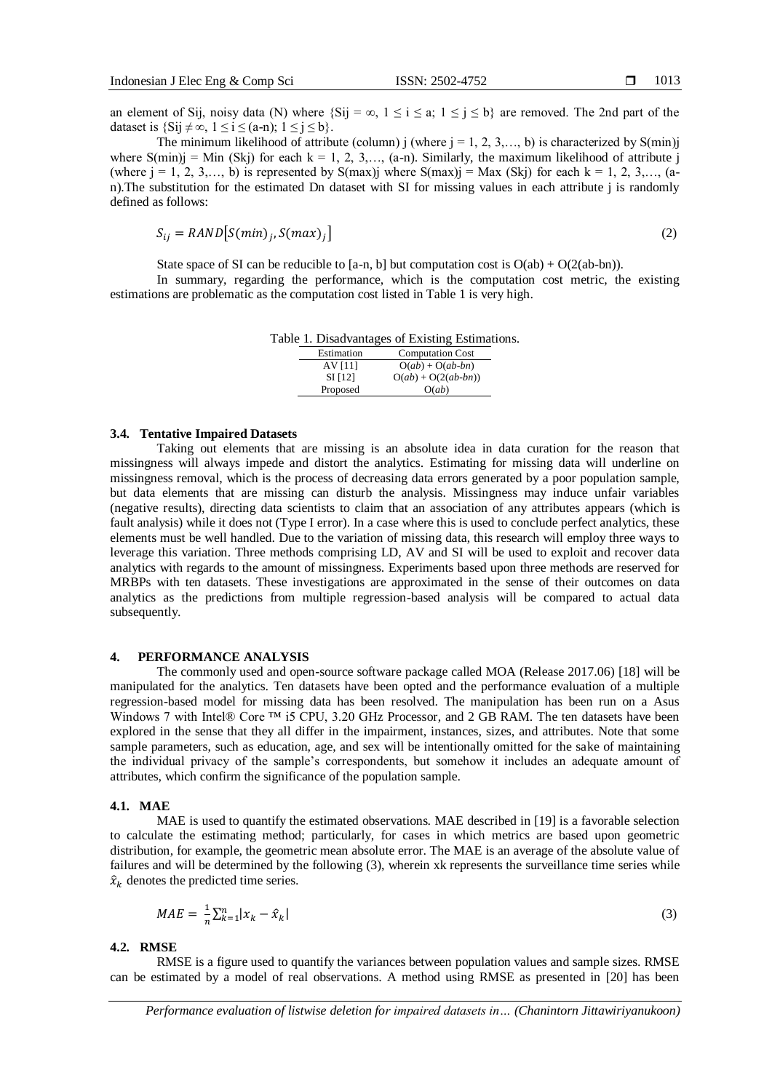an element of Sij, noisy data (N) where  $\{Sij = \infty, 1 \le i \le a; 1 \le j \le b\}$  are removed. The 2nd part of the dataset is  $\{Si i \neq \infty, 1 \leq i \leq (a-n): 1 \leq i \leq b\}$ .

The minimum likelihood of attribute (column) j (where  $j = 1, 2, 3, \ldots, b$ ) is characterized by S(min)j where  $S(\text{min})$  = Min (Skj) for each k = 1, 2, 3,..., (a-n). Similarly, the maximum likelihood of attribute j (where  $j = 1, 2, 3,..., b$ ) is represented by S(max)j where S(max)j = Max (Skj) for each k = 1, 2, 3,..., (an).The substitution for the estimated Dn dataset with SI for missing values in each attribute j is randomly defined as follows:

$$
S_{ij} = RAND[S(min)_j, S(max)_j]
$$
 (2)

State space of SI can be reducible to [a-n, b] but computation cost is  $O(ab) + O(2(ab-bn))$ .

In summary, regarding the performance, which is the computation cost metric, the existing estimations are problematic as the computation cost listed in Table 1 is very high.

Table 1. Disadvantages of Existing Estimations.

| Estimation | <b>Computation Cost</b> |
|------------|-------------------------|
| AV [11]    | $O(ab) + O(ab-bn)$      |
| $SI$ [12]  | $O(ab) + O(2(ab-bn))$   |
| Proposed   | O(ab)                   |

### **3.4. Tentative Impaired Datasets**

Taking out elements that are missing is an absolute idea in data curation for the reason that missingness will always impede and distort the analytics. Estimating for missing data will underline on missingness removal, which is the process of decreasing data errors generated by a poor population sample, but data elements that are missing can disturb the analysis. Missingness may induce unfair variables (negative results), directing data scientists to claim that an association of any attributes appears (which is fault analysis) while it does not (Type I error). In a case where this is used to conclude perfect analytics, these elements must be well handled. Due to the variation of missing data, this research will employ three ways to leverage this variation. Three methods comprising LD, AV and SI will be used to exploit and recover data analytics with regards to the amount of missingness. Experiments based upon three methods are reserved for MRBPs with ten datasets. These investigations are approximated in the sense of their outcomes on data analytics as the predictions from multiple regression-based analysis will be compared to actual data subsequently.

# **4. PERFORMANCE ANALYSIS**

The commonly used and open-source software package called MOA (Release 2017.06) [18] will be manipulated for the analytics. Ten datasets have been opted and the performance evaluation of a multiple regression-based model for missing data has been resolved. The manipulation has been run on a Asus Windows 7 with Intel® Core ™ i5 CPU, 3.20 GHz Processor, and 2 GB RAM. The ten datasets have been explored in the sense that they all differ in the impairment, instances, sizes, and attributes. Note that some sample parameters, such as education, age, and sex will be intentionally omitted for the sake of maintaining the individual privacy of the sample's correspondents, but somehow it includes an adequate amount of attributes, which confirm the significance of the population sample.

#### **4.1. MAE**

MAE is used to quantify the estimated observations. MAE described in [19] is a favorable selection to calculate the estimating method; particularly, for cases in which metrics are based upon geometric distribution, for example, the geometric mean absolute error. The MAE is an average of the absolute value of failures and will be determined by the following (3), wherein xk represents the surveillance time series while  $\hat{x}_k$  denotes the predicted time series.

$$
MAE = \frac{1}{n} \sum_{k=1}^{n} |x_k - \hat{x}_k|
$$
\n<sup>(3)</sup>

### **4.2. RMSE**

RMSE is a figure used to quantify the variances between population values and sample sizes. RMSE can be estimated by a model of real observations. A method using RMSE as presented in [20] has been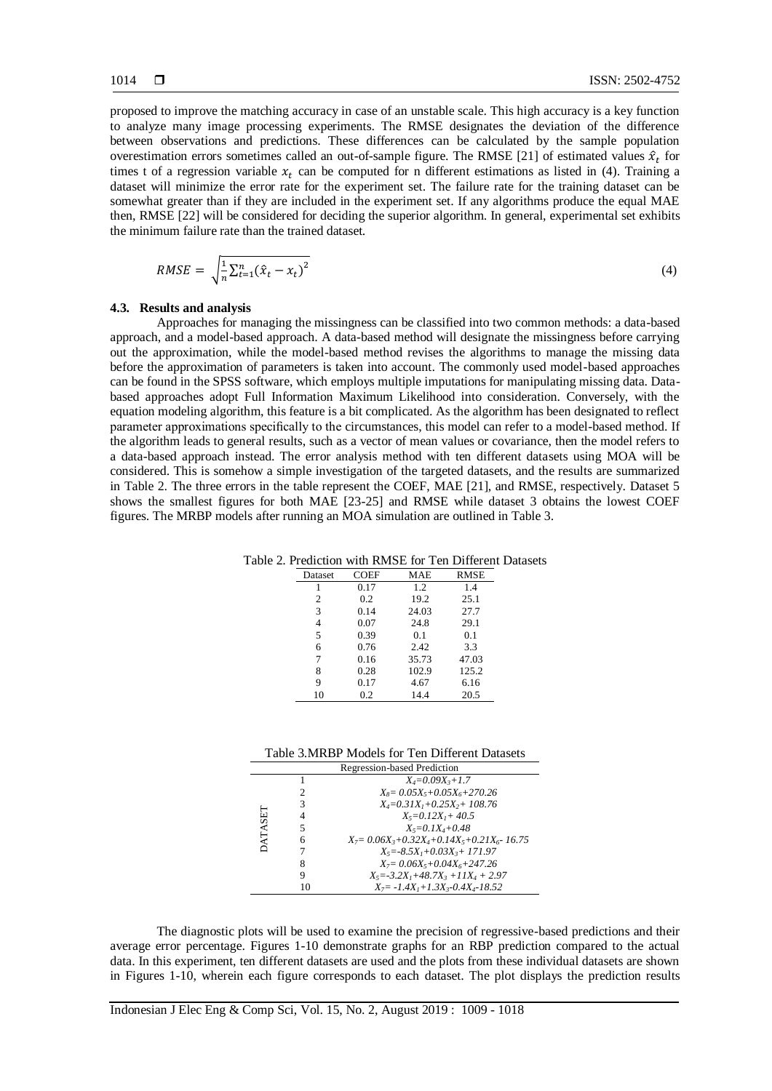proposed to improve the matching accuracy in case of an unstable scale. This high accuracy is a key function to analyze many image processing experiments. The RMSE designates the deviation of the difference between observations and predictions. These differences can be calculated by the sample population overestimation errors sometimes called an out-of-sample figure. The RMSE [21] of estimated values  $\hat{x}_t$  for times t of a regression variable  $x_t$  can be computed for n different estimations as listed in (4). Training a dataset will minimize the error rate for the experiment set. The failure rate for the training dataset can be somewhat greater than if they are included in the experiment set. If any algorithms produce the equal MAE then, RMSE [22] will be considered for deciding the superior algorithm. In general, experimental set exhibits the minimum failure rate than the trained dataset.

$$
RMSE = \sqrt{\frac{1}{n} \sum_{t=1}^{n} (\hat{x}_t - x_t)^2}
$$
\n
$$
(4)
$$

### **4.3. Results and analysis**

Approaches for managing the missingness can be classified into two common methods: a data-based approach, and a model-based approach. A data-based method will designate the missingness before carrying out the approximation, while the model-based method revises the algorithms to manage the missing data before the approximation of parameters is taken into account. The commonly used model-based approaches can be found in the SPSS software, which employs multiple imputations for manipulating missing data. Databased approaches adopt Full Information Maximum Likelihood into consideration. Conversely, with the equation modeling algorithm, this feature is a bit complicated. As the algorithm has been designated to reflect parameter approximations specifically to the circumstances, this model can refer to a model-based method. If the algorithm leads to general results, such as a vector of mean values or covariance, then the model refers to a data-based approach instead. The error analysis method with ten different datasets using MOA will be considered. This is somehow a simple investigation of the targeted datasets, and the results are summarized in Table 2. The three errors in the table represent the COEF, MAE [21], and RMSE, respectively. Dataset 5 shows the smallest figures for both MAE [23-25] and RMSE while dataset 3 obtains the lowest COEF figures. The MRBP models after running an MOA simulation are outlined in Table 3.

Table 2. Prediction with RMSE for Ten Different Datasets

| Dataset | <b>COEF</b> | MAE   | <b>RMSE</b> |
|---------|-------------|-------|-------------|
|         | 0.17        | 1.2   | 1.4         |
| 2       | 0.2         | 19.2  | 25.1        |
| 3       | 0.14        | 24.03 | 27.7        |
| 4       | 0.07        | 24.8  | 29.1        |
| 5       | 0.39        | 0.1   | 0.1         |
| 6       | 0.76        | 2.42  | 3.3         |
|         | 0.16        | 35.73 | 47.03       |
| 8       | 0.28        | 102.9 | 125.2       |
| 9       | 0.17        | 4.67  | 6.16        |
| 10      | 0.2         | 14.4  | 20.5        |

Table 3.MRBP Models for Ten Different Datasets

| Regression-based Prediction |   |                                                       |  |
|-----------------------------|---|-------------------------------------------------------|--|
|                             |   | $X_4 = 0.09X_3 + 1.7$                                 |  |
|                             |   | $X_8 = 0.05X_5 + 0.05X_6 + 270.26$                    |  |
|                             | 3 | $X_4 = 0.31X_1 + 0.25X_2 + 108.76$                    |  |
| DATASET                     | 4 | $X_5 = 0.12X_1 + 40.5$                                |  |
|                             | 5 | $X_5 = 0.1X_4 + 0.48$                                 |  |
|                             | 6 | $X_7 = 0.06X_3 + 0.32X_4 + 0.14X_5 + 0.21X_6 - 16.75$ |  |
|                             |   | $X_5 = -8.5X_1 + 0.03X_3 + 171.97$                    |  |
|                             | 8 | $X_7 = 0.06X_5 + 0.04X_6 + 247.26$                    |  |
|                             | Q | $X_5 = -3.2X_1 + 48.7X_3 + 11X_4 + 2.97$              |  |
|                             |   | $X_7 = -1.4X_1 + 1.3X_3 - 0.4X_4 - 18.52$             |  |

The diagnostic plots will be used to examine the precision of regressive-based predictions and their average error percentage. Figures 1-10 demonstrate graphs for an RBP prediction compared to the actual data. In this experiment, ten different datasets are used and the plots from these individual datasets are shown in Figures 1-10, wherein each figure corresponds to each dataset. The plot displays the prediction results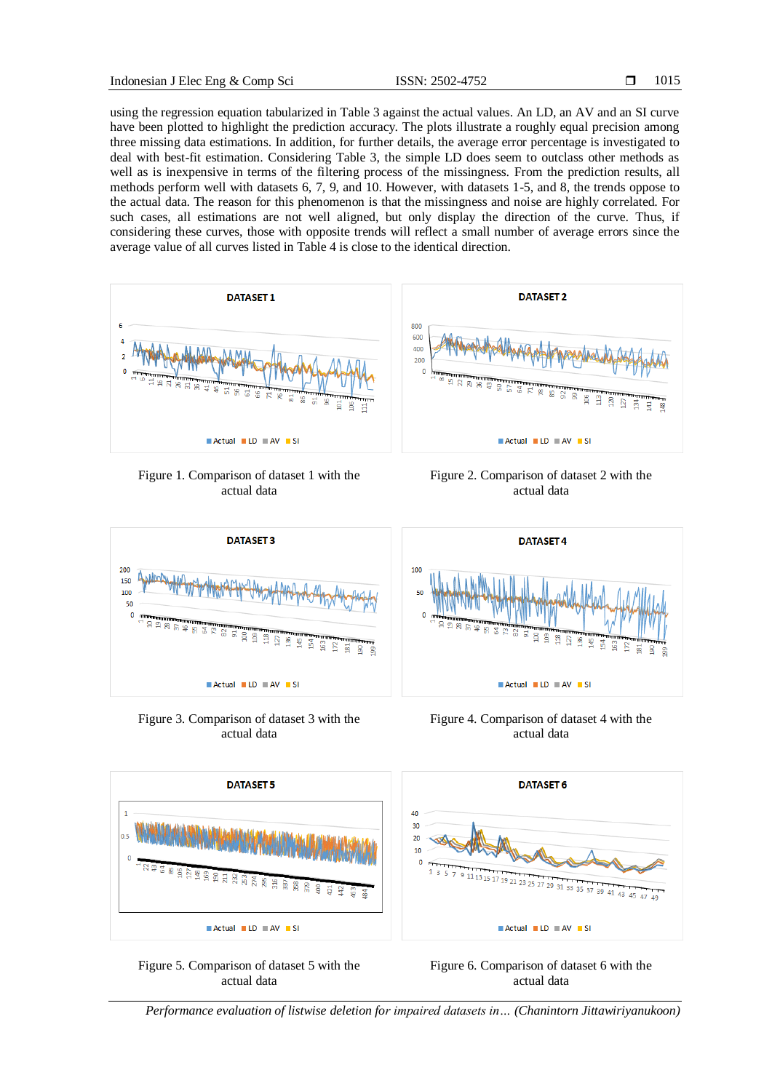using the regression equation tabularized in Table 3 against the actual values. An LD, an AV and an SI curve have been plotted to highlight the prediction accuracy. The plots illustrate a roughly equal precision among three missing data estimations. In addition, for further details, the average error percentage is investigated to deal with best-fit estimation. Considering Table 3, the simple LD does seem to outclass other methods as well as is inexpensive in terms of the filtering process of the missingness. From the prediction results, all methods perform well with datasets 6, 7, 9, and 10. However, with datasets 1-5, and 8, the trends oppose to the actual data. The reason for this phenomenon is that the missingness and noise are highly correlated. For such cases, all estimations are not well aligned, but only display the direction of the curve. Thus, if considering these curves, those with opposite trends will reflect a small number of average errors since the average value of all curves listed in Table 4 is close to the identical direction.



Figure 1. Comparison of dataset 1 with the actual data





**DATASET 4** 



Figure 3. Comparison of dataset 3 with the actual data

 $\blacksquare$  Actual  $\blacksquare$  LD  $\blacksquare$  AV  $\blacksquare$  SI

Figure 4. Comparison of dataset 4 with the actual data



s.

Figure 5. Comparison of dataset 5 with the actual data



*Performance evaluation of listwise deletion for impaired datasets in… (Chanintorn Jittawiriyanukoon)*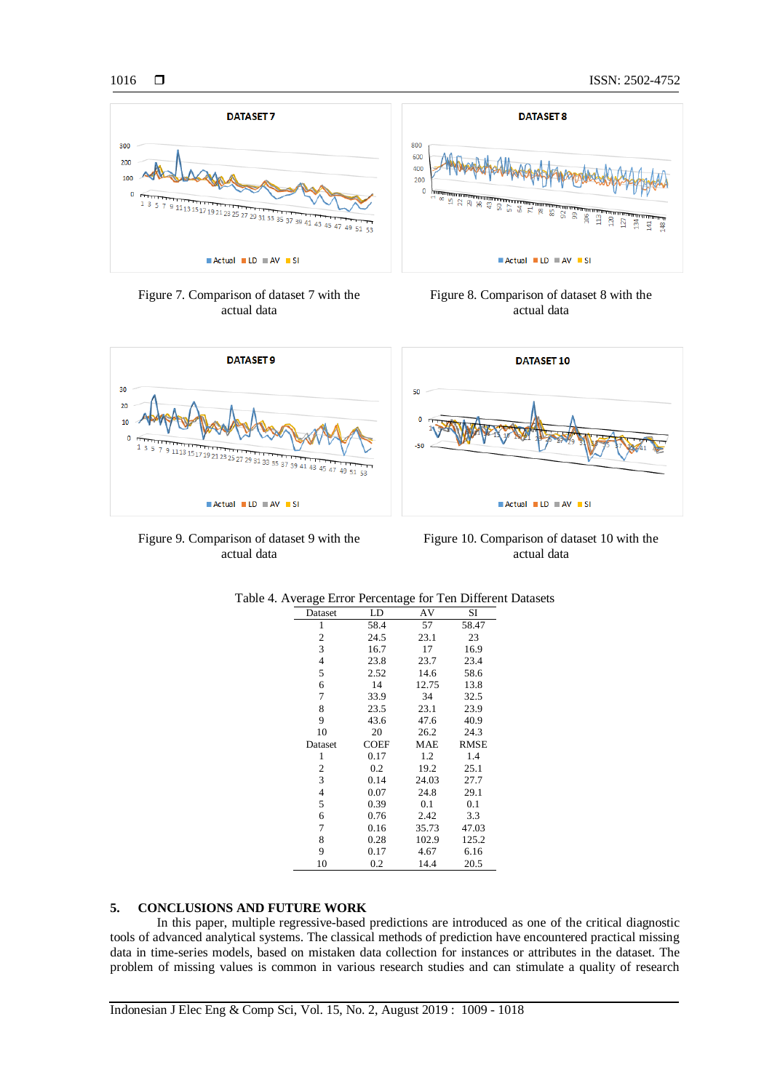

Figure 7. Comparison of dataset 7 with the actual data





Figure 9. Comparison of dataset 9 with the actual data

Figure 10. Comparison of dataset 10 with the actual data

| Average Error Percentage for Ten Differe |      |       |       |
|------------------------------------------|------|-------|-------|
| Dataset                                  | LD   | AV    | SI    |
| 1                                        | 58.4 | 57    | 58.47 |
| 2                                        | 24.5 | 23.1  | 23    |
| 3                                        | 16.7 | 17    | 16.9  |
| 4                                        | 23.8 | 23.7  | 23.4  |
| 5                                        | 2.52 | 14.6  | 58.6  |
| 6                                        | 14   | 12.75 | 13.8  |
| 7                                        | 33.9 | 34    | 32.5  |
| 8                                        | 23.5 | 23.1  | 23.9  |
| 9                                        | 43.6 | 47.6  | 40.9  |
| 10                                       | 20   | 26.2  | 24.3  |
| Dataset                                  | COEF | MAE   | RMSE  |
| 1                                        | 0.17 | 1.2   | 1.4   |
| 2                                        | 0.2  | 19.2  | 25.1  |
| 3                                        | 0.14 | 24.03 | 27.7  |
| $\overline{4}$                           | 0.07 | 24.8  | 29.1  |
| 5                                        | 0.39 | 0.1   | 0.1   |
| 6                                        | 0.76 | 2.42  | 3.3   |
| 7                                        | 0.16 | 35.73 | 47.03 |
| 8                                        | 0.28 | 102.9 | 125.2 |
| 9                                        | 0.17 | 4.67  | 6.16  |
| 10                                       | 0.2  | 14.4  | 20.5  |

| Table 4. Average Error Percentage for Ten Different Datasets |  |  |
|--------------------------------------------------------------|--|--|
|--------------------------------------------------------------|--|--|

# **5. CONCLUSIONS AND FUTURE WORK**

In this paper, multiple regressive-based predictions are introduced as one of the critical diagnostic tools of advanced analytical systems. The classical methods of prediction have encountered practical missing data in time-series models, based on mistaken data collection for instances or attributes in the dataset. The problem of missing values is common in various research studies and can stimulate a quality of research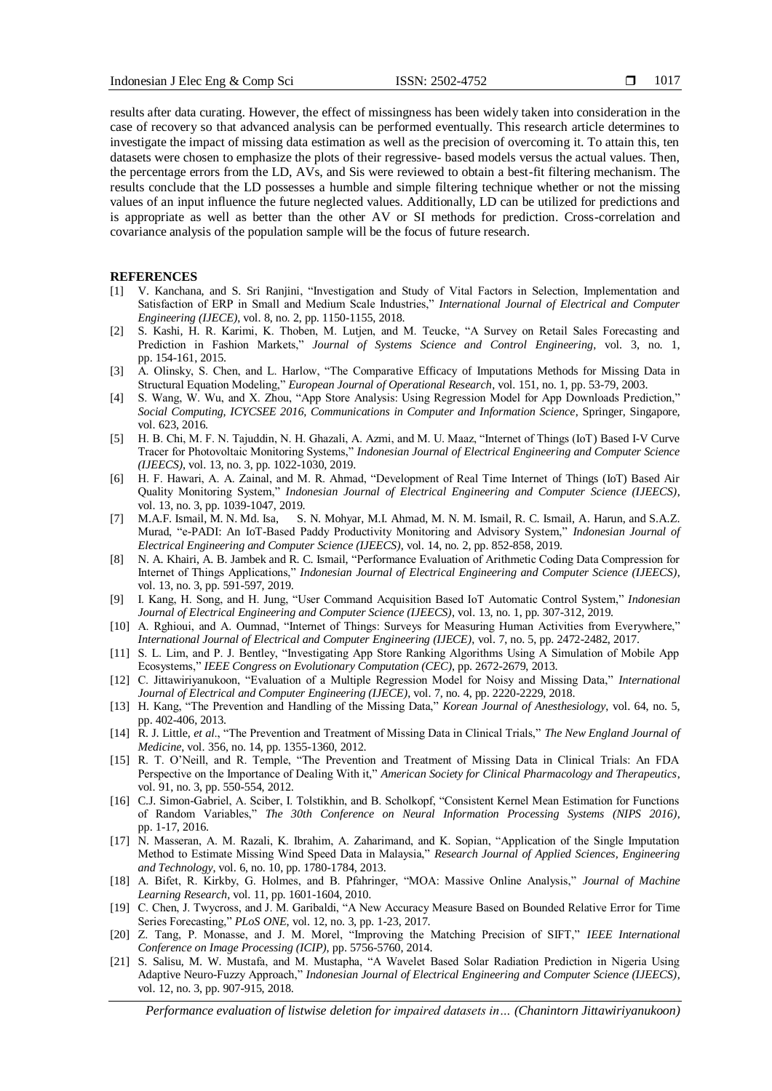results after data curating. However, the effect of missingness has been widely taken into consideration in the case of recovery so that advanced analysis can be performed eventually. This research article determines to investigate the impact of missing data estimation as well as the precision of overcoming it. To attain this, ten datasets were chosen to emphasize the plots of their regressive- based models versus the actual values. Then, the percentage errors from the LD, AVs, and Sis were reviewed to obtain a best-fit filtering mechanism. The results conclude that the LD possesses a humble and simple filtering technique whether or not the missing values of an input influence the future neglected values. Additionally, LD can be utilized for predictions and is appropriate as well as better than the other AV or SI methods for prediction. Cross-correlation and covariance analysis of the population sample will be the focus of future research.

# **REFERENCES**

- [1] V. Kanchana, and S. Sri Ranjini, "Investigation and Study of Vital Factors in Selection, Implementation and Satisfaction of ERP in Small and Medium Scale Industries," *International Journal of Electrical and Computer Engineering (IJECE)*, vol. 8, no. 2, pp. 1150-1155, 2018.
- [2] S. Kashi, H. R. Karimi, K. Thoben, M. Lutjen, and M. Teucke, "A Survey on Retail Sales Forecasting and Prediction in Fashion Markets," *Journal of Systems Science and Control Engineering*, vol. 3, no. 1, pp. 154-161, 2015.
- [3] A. Olinsky, S. Chen, and L. Harlow, "The Comparative Efficacy of Imputations Methods for Missing Data in Structural Equation Modeling," *European Journal of Operational Research*, vol. 151, no. 1, pp. 53-79, 2003.
- [4] S. Wang, W. Wu, and X. Zhou, "App Store Analysis: Using Regression Model for App Downloads Prediction," *Social Computing, ICYCSEE 2016, Communications in Computer and Information Science*, Springer, Singapore, vol. 623, 2016.
- [5] H. B. Chi, M. F. N. Tajuddin, N. H. Ghazali, A. Azmi, and M. U. Maaz, "Internet of Things (IoT) Based I-V Curve Tracer for Photovoltaic Monitoring Systems," *Indonesian Journal of Electrical Engineering and Computer Science (IJEECS)*, vol. 13, no. 3, pp. 1022-1030, 2019.
- [6] H. F. Hawari, A. A. Zainal, and M. R. Ahmad, "Development of Real Time Internet of Things (IoT) Based Air Quality Monitoring System," *Indonesian Journal of Electrical Engineering and Computer Science (IJEECS)*, vol. 13, no. 3, pp. 1039-1047, 2019.
- [7] M.A.F. Ismail, M. N. Md. Isa, S. N. Mohyar, M.I. Ahmad, M. N. M. Ismail, R. C. Ismail, A. Harun, and S.A.Z. Murad, "e-PADI: An IoT-Based Paddy Productivity Monitoring and Advisory System," *Indonesian Journal of Electrical Engineering and Computer Science (IJEECS)*, vol. 14, no. 2, pp. 852-858, 2019.
- [8] N. A. Khairi, A. B. Jambek and R. C. Ismail, "Performance Evaluation of Arithmetic Coding Data Compression for Internet of Things Applications," *Indonesian Journal of Electrical Engineering and Computer Science (IJEECS)*, vol. 13, no. 3, pp. 591-597, 2019.
- [9] I. Kang, H. Song, and H. Jung, "User Command Acquisition Based IoT Automatic Control System," *Indonesian Journal of Electrical Engineering and Computer Science (IJEECS)*, vol. 13, no. 1, pp. 307-312, 2019.
- [10] A. Rghioui, and A. Oumnad, "Internet of Things: Surveys for Measuring Human Activities from Everywhere," *International Journal of Electrical and Computer Engineering (IJECE)*, vol. 7, no. 5, pp. 2472-2482, 2017.
- [11] S. L. Lim, and P. J. Bentley, "Investigating App Store Ranking Algorithms Using A Simulation of Mobile App Ecosystems," *IEEE Congress on Evolutionary Computation (CEC)*, pp. 2672-2679, 2013.
- [12] C. Jittawiriyanukoon, "Evaluation of a Multiple Regression Model for Noisy and Missing Data," *International Journal of Electrical and Computer Engineering (IJECE)*, vol. 7, no. 4, pp. 2220-2229, 2018.
- [13] H. Kang, "The Prevention and Handling of the Missing Data," *Korean Journal of Anesthesiology*, vol. 64, no. 5, pp. 402-406, 2013.
- [14] R. J. Little, *et al*., "The Prevention and Treatment of Missing Data in Clinical Trials," *The New England Journal of Medicine*, vol. 356, no. 14, pp. 1355-1360, 2012.
- [15] R. T. O'Neill, and R. Temple, "The Prevention and Treatment of Missing Data in Clinical Trials: An FDA Perspective on the Importance of Dealing With it," *American Society for Clinical Pharmacology and Therapeutics*, vol. 91, no. 3, pp. 550-554, 2012.
- [16] C.J. Simon-Gabriel, A. Sciber, I. Tolstikhin, and B. Scholkopf, "Consistent Kernel Mean Estimation for Functions of Random Variables," *The 30th Conference on Neural Information Processing Systems (NIPS 2016)*, pp. 1-17, 2016.
- [17] N. Masseran, A. M. Razali, K. Ibrahim, A. Zaharimand, and K. Sopian, "Application of the Single Imputation Method to Estimate Missing Wind Speed Data in Malaysia," *Research Journal of Applied Sciences, Engineering and Technology*, vol. 6, no. 10, pp. 1780-1784, 2013.
- [18] A. Bifet, R. Kirkby, G. Holmes, and B. Pfahringer, "MOA: Massive Online Analysis," *Journal of Machine Learning Research*, vol. 11, pp. 1601-1604, 2010.
- [19] C. Chen, J. Twycross, and J. M. Garibaldi, "A New Accuracy Measure Based on Bounded Relative Error for Time Series Forecasting," *PLoS ONE*, vol. 12, no. 3, pp. 1-23, 2017.
- [20] Z. Tang, P. Monasse, and J. M. Morel, "Improving the Matching Precision of SIFT," *IEEE International Conference on Image Processing (ICIP)*, pp. 5756-5760, 2014.
- [21] S. Salisu, M. W. Mustafa, and M. Mustapha, "A Wavelet Based Solar Radiation Prediction in Nigeria Using Adaptive Neuro-Fuzzy Approach," *Indonesian Journal of Electrical Engineering and Computer Science (IJEECS)*, vol. 12, no. 3, pp. 907-915, 2018.

*Performance evaluation of listwise deletion for impaired datasets in… (Chanintorn Jittawiriyanukoon)*